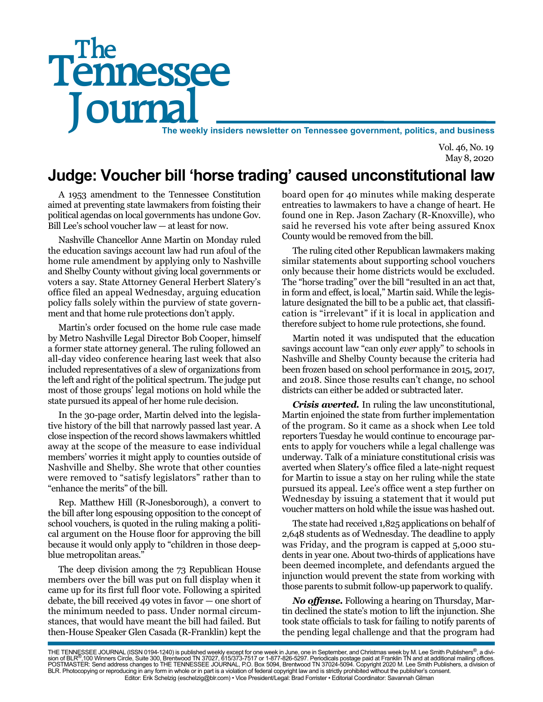# Tennessee The

The weekly insiders newsletter on Tennessee government, politics, and business

Vol. 46, No. 19 May 8, 2020

# **Judge: Voucher bill 'horse trading' caused unconstitutional law**

A 1953 amendment to the Tennessee Constitution aimed at preventing state lawmakers from foisting their political agendas on local governments has undone Gov. Bill Lee's school voucher law — at least for now.

Nashville Chancellor Anne Martin on Monday ruled the education savings account law had run afoul of the home rule amendment by applying only to Nashville and Shelby County without giving local governments or voters a say. State Attorney General Herbert Slatery's office filed an appeal Wednesday, arguing education policy falls solely within the purview of state government and that home rule protections don't apply.

Martin's order focused on the home rule case made by Metro Nashville Legal Director Bob Cooper, himself a former state attorney general. The ruling followed an all-day video conference hearing last week that also included representatives of a slew of organizations from the left and right of the political spectrum. The judge put most of those groups' legal motions on hold while the state pursued its appeal of her home rule decision.

In the 30-page order, Martin delved into the legislative history of the bill that narrowly passed last year. A close inspection of the record shows lawmakers whittled away at the scope of the measure to ease individual members' worries it might apply to counties outside of Nashville and Shelby. She wrote that other counties were removed to "satisfy legislators" rather than to "enhance the merits" of the bill.

Rep. Matthew Hill (R-Jonesborough), a convert to the bill after long espousing opposition to the concept of school vouchers, is quoted in the ruling making a political argument on the House floor for approving the bill because it would only apply to "children in those deepblue metropolitan areas."

The deep division among the 73 Republican House members over the bill was put on full display when it came up for its first full floor vote. Following a spirited debate, the bill received 49 votes in favor — one short of the minimum needed to pass. Under normal circumstances, that would have meant the bill had failed. But then-House Speaker Glen Casada (R-Franklin) kept the

board open for 40 minutes while making desperate entreaties to lawmakers to have a change of heart. He found one in Rep. Jason Zachary (R-Knoxville), who said he reversed his vote after being assured Knox County would be removed from the bill.

The ruling cited other Republican lawmakers making similar statements about supporting school vouchers only because their home districts would be excluded. The "horse trading" over the bill "resulted in an act that, in form and effect, is local," Martin said. While the legislature designated the bill to be a public act, that classification is "irrelevant" if it is local in application and therefore subject to home rule protections, she found.

Martin noted it was undisputed that the education savings account law "can only *ever* apply" to schools in Nashville and Shelby County because the criteria had been frozen based on school performance in 2015, 2017, and 2018. Since those results can't change, no school districts can either be added or subtracted later.

*Crisis averted.* In ruling the law unconstitutional, Martin enjoined the state from further implementation of the program. So it came as a shock when Lee told reporters Tuesday he would continue to encourage parents to apply for vouchers while a legal challenge was underway. Talk of a miniature constitutional crisis was averted when Slatery's office filed a late-night request for Martin to issue a stay on her ruling while the state pursued its appeal. Lee's office went a step further on Wednesday by issuing a statement that it would put voucher matters on hold while the issue was hashed out.

The state had received 1,825 applications on behalf of 2,648 students as of Wednesday. The deadline to apply was Friday, and the program is capped at 5,000 students in year one. About two-thirds of applications have been deemed incomplete, and defendants argued the injunction would prevent the state from working with those parents to submit follow-up paperwork to qualify.

*No offense.* Following a hearing on Thursday, Martin declined the state's motion to lift the injunction. She took state officials to task for failing to notify parents of the pending legal challenge and that the program had

THE TENNESSEE JOURNAL (ISSN 0194-1240) is published weekly except for one week in June, one in September, and Christmas week by M. Lee Smith Publishers®, a divi-<br>sion of BLR®,100 Winners Circle, Suite 300, Brentwood TN 370 BLR. Photocopying or reproducing in any form in whole or in part is a violation of federal copyright law and is strictly prohibited without the publisher's consent. Editor: Erik Schelzig (eschelzig@blr.com) • Vice President/Legal: Brad Forrister • Editorial Coordinator: Savannah Gilman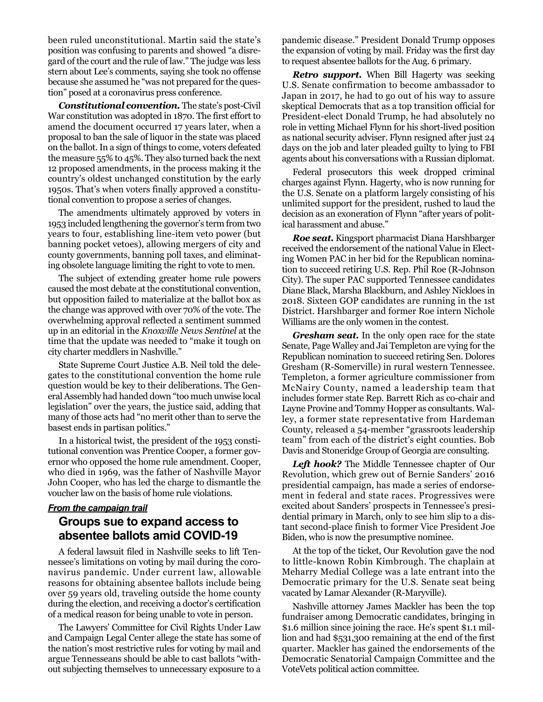been ruled unconstitutional. Martin said the state's position was confusing to parents and showed "a disregard of the court and the rule of law." The judge was less stern about Lee's comments, saying she took no offense because she assumed he "was not prepared for the question" posed at a coronavirus press conference.

*Constitutional convention.* The state's post-Civil War constitution was adopted in 1870. The first effort to amend the document occurred 17 years later, when a proposal to ban the sale of liquor in the state was placed on the ballot. In a sign of things to come, voters defeated the measure 55% to 45%. They also turned back the next 12 proposed amendments, in the process making it the country's oldest unchanged constitution by the early 1950s. That's when voters finally approved a constitutional convention to propose a series of changes.

The amendments ultimately approved by voters in 1953 included lengthening the governor's term from two years to four, establishing line-item veto power (but banning pocket vetoes), allowing mergers of city and county governments, banning poll taxes, and eliminating obsolete language limiting the right to vote to men.

The subject of extending greater home rule powers caused the most debate at the constitutional convention, but opposition failed to materialize at the ballot box as the change was approved with over 70% of the vote. The overwhelming approval reflected a sentiment summed up in an editorial in the *Knoxville News Sentinel* at the time that the update was needed to "make it tough on city charter meddlers in Nashville."

State Supreme Court Justice A.B. Neil told the delegates to the constitutional convention the home rule question would be key to their deliberations. The General Assembly had handed down "too much unwise local legislation" over the years, the justice said, adding that many of those acts had "no merit other than to serve the basest ends in partisan politics."

In a historical twist, the president of the 1953 constitutional convention was Prentice Cooper, a former governor who opposed the home rule amendment. Cooper, who died in 1969, was the father of Nashville Mayor John Cooper, who has led the charge to dismantle the voucher law on the basis of home rule violations.

## *From the campaign trail*

#### **Groups sue to expand access to absentee ballots amid COVID-19**

A federal lawsuit filed in Nashville seeks to lift Tennessee's limitations on voting by mail during the coronavirus pandemic. Under current law, allowable reasons for obtaining absentee ballots include being over 59 years old, traveling outside the home county during the election, and receiving a doctor's certification of a medical reason for being unable to vote in person.

The Lawyers' Committee for Civil Rights Under Law and Campaign Legal Center allege the state has some of the nation's most restrictive rules for voting by mail and argue Tennesseans should be able to cast ballots "without subjecting themselves to unnecessary exposure to a

pandemic disease." President Donald Trump opposes the expansion of voting by mail. Friday was the first day to request absentee ballots for the Aug. 6 primary.

*Retro support.* When Bill Hagerty was seeking U.S. Senate confirmation to become ambassador to Japan in 2017, he had to go out of his way to assure skeptical Democrats that as a top transition official for President-elect Donald Trump, he had absolutely no role in vetting Michael Flynn for his short-lived position as national security adviser. Flynn resigned after just 24 days on the job and later pleaded guilty to lying to FBI agents about his conversations with a Russian diplomat.

Federal prosecutors this week dropped criminal charges against Flynn. Hagerty, who is now running for the U.S. Senate on a platform largely consisting of his unlimited support for the president, rushed to laud the decision as an exoneration of Flynn "after years of political harassment and abuse."

*Roe seat.* Kingsport pharmacist Diana Harshbarger received the endorsement of the national Value in Electing Women PAC in her bid for the Republican nomination to succeed retiring U.S. Rep. Phil Roe (R-Johnson City). The super PAC supported Tennessee candidates Diane Black, Marsha Blackburn, and Ashley Nickloes in 2018. Sixteen GOP candidates are running in the 1st District. Harshbarger and former Roe intern Nichole Williams are the only women in the contest.

*Gresham seat.* In the only open race for the state Senate, Page Walley and Jai Templeton are vying for the Republican nomination to succeed retiring Sen. Dolores Gresham (R-Somerville) in rural western Tennessee. Templeton, a former agriculture commissioner from McNairy County, named a leadership team that includes former state Rep. Barrett Rich as co-chair and Layne Provine and Tommy Hopper as consultants. Walley, a former state representative from Hardeman County, released a 54-member "grassroots leadership team" from each of the district's eight counties. Bob Davis and Stoneridge Group of Georgia are consulting.

*Left hook?* The Middle Tennessee chapter of Our Revolution, which grew out of Bernie Sanders' 2016 presidential campaign, has made a series of endorsement in federal and state races. Progressives were excited about Sanders' prospects in Tennessee's presidential primary in March, only to see him slip to a distant second-place finish to former Vice President Joe Biden, who is now the presumptive nominee.

At the top of the ticket, Our Revolution gave the nod to little-known Robin Kimbrough. The chaplain at Meharry Medial College was a late entrant into the Democratic primary for the U.S. Senate seat being vacated by Lamar Alexander (R-Maryville).

Nashville attorney James Mackler has been the top fundraiser among Democratic candidates, bringing in \$1.6 million since joining the race. He's spent \$1.1 million and had \$531,300 remaining at the end of the first quarter. Mackler has gained the endorsements of the Democratic Senatorial Campaign Committee and the VoteVets political action committee.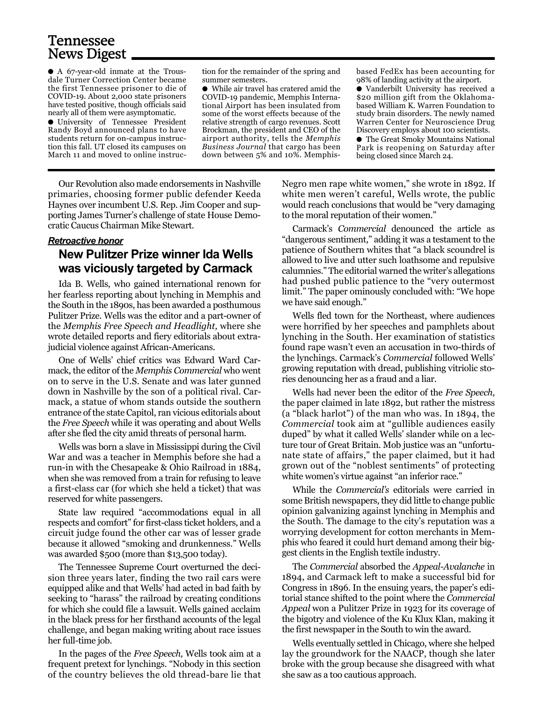### Tennessee News Digest

● A 67-year-old inmate at the Trousdale Turner Correction Center became the first Tennessee prisoner to die of COVID-19. About 2,000 state prisoners have tested positive, though officials said nearly all of them were asymptomatic.

● University of Tennessee President Randy Boyd announced plans to have students return for on-campus instruction this fall. UT closed its campuses on March 11 and moved to online instruc-

tion for the remainder of the spring and summer semesters.

● While air travel has cratered amid the COVID-19 pandemic, Memphis International Airport has been insulated from some of the worst effects because of the relative strength of cargo revenues. Scott Brockman, the president and CEO of the airport authority, tells the *Memphis Business Journal* that cargo has been down between 5% and 10%. Memphisbased FedEx has been accounting for 98% of landing activity at the airport.

● Vanderbilt University has received a \$20 million gift from the Oklahomabased William K. Warren Foundation to study brain disorders. The newly named Warren Center for Neuroscience Drug Discovery employs about 100 scientists. ● The Great Smoky Mountains National

Park is reopening on Saturday after being closed since March 24.

Our Revolution also made endorsements in Nashville primaries, choosing former public defender Keeda Haynes over incumbent U.S. Rep. Jim Cooper and supporting James Turner's challenge of state House Democratic Caucus Chairman Mike Stewart.

#### *Retroactive honor*

#### **New Pulitzer Prize winner Ida Wells was viciously targeted by Carmack**

Ida B. Wells, who gained international renown for her fearless reporting about lynching in Memphis and the South in the 1890s, has been awarded a posthumous Pulitzer Prize. Wells was the editor and a part-owner of the *Memphis Free Speech and Headlight,* where she wrote detailed reports and fiery editorials about extrajudicial violence against African-Americans.

One of Wells' chief critics was Edward Ward Carmack, the editor of the *Memphis Commercial* who went on to serve in the U.S. Senate and was later gunned down in Nashville by the son of a political rival. Carmack, a statue of whom stands outside the southern entrance of the state Capitol, ran vicious editorials about the *Free Speech* while it was operating and about Wells after she fled the city amid threats of personal harm.

Wells was born a slave in Mississippi during the Civil War and was a teacher in Memphis before she had a run-in with the Chesapeake & Ohio Railroad in 1884, when she was removed from a train for refusing to leave a first-class car (for which she held a ticket) that was reserved for white passengers.

State law required "accommodations equal in all respects and comfort" for first-class ticket holders, and a circuit judge found the other car was of lesser grade because it allowed "smoking and drunkenness." Wells was awarded \$500 (more than \$13,500 today).

The Tennessee Supreme Court overturned the decision three years later, finding the two rail cars were equipped alike and that Wells' had acted in bad faith by seeking to "harass" the railroad by creating conditions for which she could file a lawsuit. Wells gained acclaim in the black press for her firsthand accounts of the legal challenge, and began making writing about race issues her full-time job.

In the pages of the *Free Speech,* Wells took aim at a frequent pretext for lynchings. "Nobody in this section of the country believes the old thread-bare lie that

Negro men rape white women," she wrote in 1892. If white men weren't careful, Wells wrote, the public would reach conclusions that would be "very damaging to the moral reputation of their women."

Carmack's *Commercial* denounced the article as "dangerous sentiment," adding it was a testament to the patience of Southern whites that "a black scoundrel is allowed to live and utter such loathsome and repulsive calumnies." The editorial warned the writer's allegations had pushed public patience to the "very outermost limit." The paper ominously concluded with: "We hope we have said enough."

Wells fled town for the Northeast, where audiences were horrified by her speeches and pamphlets about lynching in the South. Her examination of statistics found rape wasn't even an accusation in two-thirds of the lynchings. Carmack's *Commercial* followed Wells' growing reputation with dread, publishing vitriolic stories denouncing her as a fraud and a liar.

Wells had never been the editor of the *Free Speech*, the paper claimed in late 1892, but rather the mistress (a "black harlot") of the man who was. In 1894, the *Commercial* took aim at "gullible audiences easily duped" by what it called Wells' slander while on a lecture tour of Great Britain. Mob justice was an "unfortunate state of affairs," the paper claimed, but it had grown out of the "noblest sentiments" of protecting white women's virtue against "an inferior race."

While the *Commercial's* editorials were carried in some British newspapers, they did little to change public opinion galvanizing against lynching in Memphis and the South. The damage to the city's reputation was a worrying development for cotton merchants in Memphis who feared it could hurt demand among their biggest clients in the English textile industry.

The *Commercial* absorbed the *Appeal-Avalanche* in 1894, and Carmack left to make a successful bid for Congress in 1896. In the ensuing years, the paper's editorial stance shifted to the point where the *Commercial Appeal* won a Pulitzer Prize in 1923 for its coverage of the bigotry and violence of the Ku Klux Klan, making it the first newspaper in the South to win the award.

Wells eventually settled in Chicago, where she helped lay the groundwork for the NAACP, though she later broke with the group because she disagreed with what she saw as a too cautious approach.